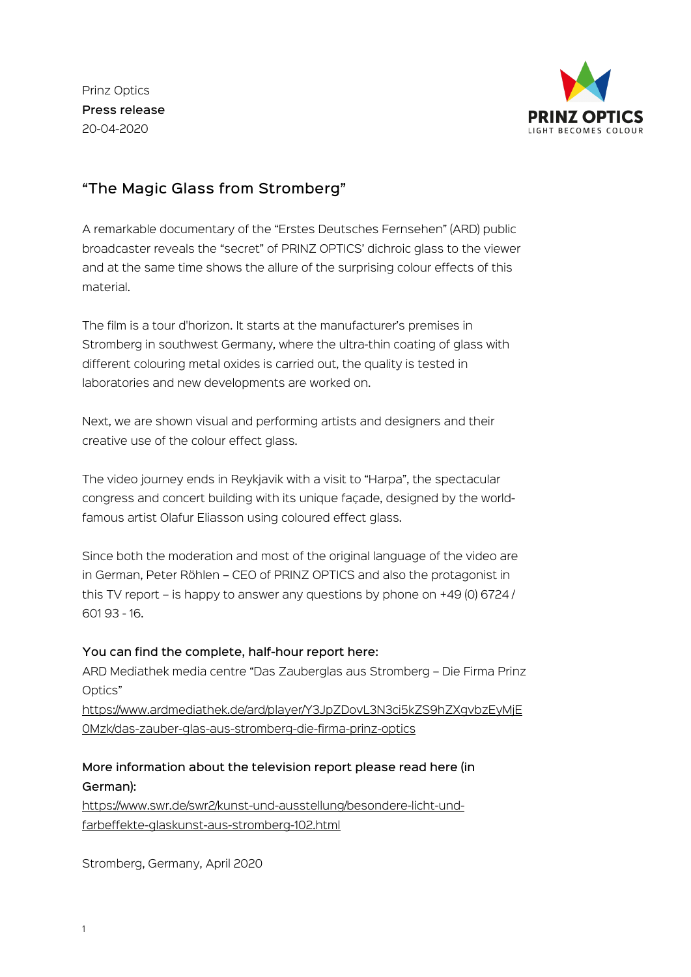Prinz Optics Press release 20-04-2020



## "The Magic Glass from Stromberg"

A remarkable documentary of the "Erstes Deutsches Fernsehen" (ARD) public broadcaster reveals the "secret" of PRINZ OPTICS' dichroic glass to the viewer and at the same time shows the allure of the surprising colour effects of this material.

The film is a tour d'horizon. It starts at the manufacturer's premises in Stromberg in southwest Germany, where the ultra-thin coating of glass with different colouring metal oxides is carried out, the quality is tested in laboratories and new developments are worked on.

Next, we are shown visual and performing artists and designers and their creative use of the colour effect glass.

The video journey ends in Reykjavik with a visit to "Harpa", the spectacular congress and concert building with its unique façade, designed by the worldfamous artist Olafur Eliasson using coloured effect glass.

Since both the moderation and most of the original language of the video are in German, Peter Röhlen – CEO of PRINZ OPTICS and also the protagonist in this TV report – is happy to answer any questions by phone on +49 (0) 6724 / 601 93 - 16.

## You can find the complete, half-hour report here:

ARD Mediathek media centre "Das Zauberglas aus Stromberg – Die Firma Prinz Optics"

[https://www.ardmediathek.de/ard/player/Y3JpZDovL3N3ci5kZS9hZXgvbzEyMjE](https://www.ardmediathek.de/ard/player/Y3JpZDovL3N3ci5kZS9hZXgvbzEyMjE0Mzk/das-zauber-glas-aus-stromberg-die-firma-prinz-optics) 0Mzk/das-zauber-glas-aus-stromberg-die-firma-prinz-optics

## More information about the television report please read here (in German):

[https://www.swr.de/swr2/kunst-und-ausstellung/besondere-licht-und](https://www.swr.de/swr2/kunst-und-ausstellung/besondere-licht-und-farbeffekte-glaskunst-aus-stromberg-102.html)farbeffekte-glaskunst-aus-stromberg-102.html

Stromberg, Germany, April 2020